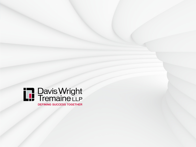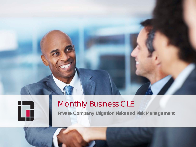



## Monthly Business CLE

*Private Company Litigation Risks and Risk Management*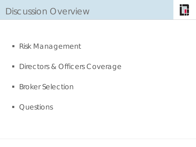

- **Risk Management**
- **Directors & Officers Coverage**
- **Broker Selection**
- Ouestions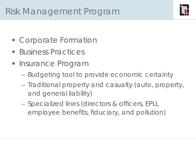## Risk Management Program



- **Corporate Formation**
- **Business Practices**
- **Insurance Program** 
	- Budgeting tool to provide economic certainty
	- Traditional property and casualty (auto, property, and general liability)
	- Specialized lines (directors & officers, EPLI, employee benefits, fiduciary, and pollution)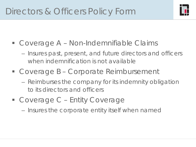

- Coverage A Non-Indemnifiable Claims
	- Insures past, present, and future directors and officers when indemnification is not available
- Coverage B Corporate Reimbursement
	- Reimburses the company for its indemnity obligation to its directors and officers
- Coverage C Entity Coverage
	- Insures the corporate entity itself when named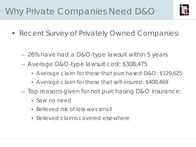

- **Recent Survey of Privately Owned Companies:** 
	- 26% have had a D&O-type lawsuit within 5 years
	- Average D&O-type lawsuit cost: \$308,475
		- Average claim for those that purchased D&O: \$129,625
		- Average claim for those that self-insured: \$408,469
	- Top reasons given for not purchasing D&O insurance:
		- Saw no need
		- Believed risk of loss was small
		- Believed claims covered elsewhere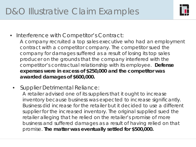

- Interference with Competitor's Contract:
	- A company recruited a top sales executive who had an employment contract with a competitor company. The competitor sued the company for damages suffered as a result of losing its top sales producer on the grounds that the company interfered with the competitor's contractual relationship with its employee. **Defense expenses were in excess of \$250,000 and the competitor was awarded damages of \$600,000.**
	- Supplier Detrimental Reliance:

A retailer advised one of its suppliers that it ought to increase inventory because business was expected to increase significantly. Business did increase for the retailer but it decided to use a different supplier for the increased inventory. The original supplied sued the retailer alleging that he relied on the retailer's promise of more business and suffered damages as a result of having relied on that promise. **The matter was eventually settled for \$500,000.**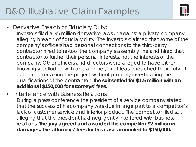## D&O Illustrative Claim Examples



- Derivative Breach of Fiduciary Duty:
	- Investors filed a \$5 million derivative lawsuit against a private company alleging breach of fiduciary duty. The investors claimed that some of the company's officers had personal connections to the third-party contractor hired to re-tool the company's assembly line and hired that contractor to further their personal interests, not the interests of the company. Other officers and directors were alleged to have either knowingly colluded with one another, or at least breached their duty of care in undertaking the project without properly investigating the qualifications of the contractor. **The suit settled for \$1.5 million with an additional \$150,000 for attorneys' fees.**
- Interference with Business Relations:

During a press conference the president of a service company stated that the success of his company was due in large part to a competitor's lack of customer service and inferior product. The competitor filed suit alleging that the president had negligently interfered with business relations. **The jury agreed and awarded the competitor \$2 million in damages. The attorneys' fees for this case amounted to \$150,000.**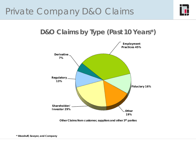## Private Company D&O Claims



#### **D&O Claims by Type (Past 10 Years\*)**



**Other Claims from customer, suppliers and other 3rd parties**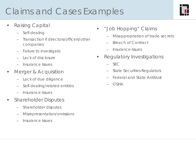# Claims and Cases Examples



- **Raising Capital** 
	- Self-dealing
	- Transaction if directors/officers/other companies
	- Failure to investigate
	- Lack of disclosure
	- Insurance Issues
- **Nerger & Acquisition** 
	- Lack of due diligence
	- Self-dealing/related entities
	- Insurance Issues
- Shareholder Disputes
	- Shareholder disputes
	- Misrepresentation/omissions
	- Insurance Issues
- **•** "Job Hopping" Claims
	- Misappropriation of trade secrets
	- Breach of Contract
	- Insurance Issues
- Regulatory Investigations
	- SEC
	- State Securities Regulators
	- Federal and State Antitrust
	- OSHA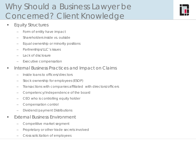## Why Should a Business Lawyer be Concerned? Client Knowledge



- **Equity Structures** 
	- Form of entity have impact
	- Shareholders inside vs. outside
	- Equal ownership or minority positions
	- Partnerships/LLC's issues
	- Lack of disclosure
	- Executive compensation
- Internal Business Practices and Impact on Claims
	- Inside loans to officers/directors
	- Stock ownership for employees (ESOP)
	- Transactions with companies affiliated with directors/officers
	- Competency/Independence of the board
	- CEO who is controlling equity holder
	- Compensation control
	- Dividend/payment Distributions
- External Business Environment
	- Competitive market segment
	- Proprietary or other trade secrets involved
	- Cross solicitation of employees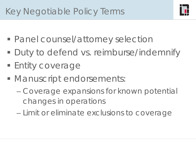

- Panel counsel/attorney selection
- **Duty to defend vs. reimburse/indemnify**
- **Entity coverage**
- **Manuscript endorsements:** 
	- Coverage expansions for known potential changes in operations
	- Limit or eliminate exclusions to coverage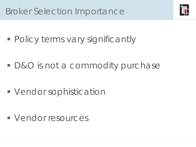

**Policy terms vary significantly** 

■ D&O is not a commodity purchase

**• Vendor sophistication** 

**Vendor resources**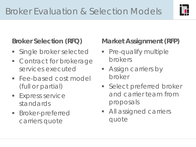

#### **Broker Selection (RFQ)**

- **Single broker selected**
- **Contract for brokerage** services executed
- Fee-based cost model (full or partial)
- **Express service** standards
- Broker-preferred carriers quote

#### **Market Assignment (RFP)**

- **Pre-qualify multiple** brokers
- **Assign carriers by** broker
- **Select preferred broker** and carrier team from proposals
- **All assigned carriers** quote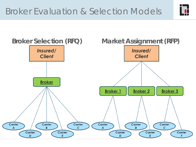

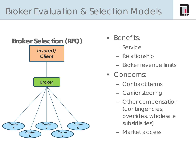



- - Service
	- Relationship
	- Broker revenue limits
- Concerns:
	- Contract terms
	- Carrier steering
	- Other compensation (contingencies, overrides, wholesale subsidiaries)
	- Market access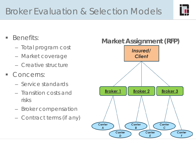# Broker Evaluation & Selection Models



- **Benefits:** 
	- Total program cost
	- Market coverage
	- Creative structure
- Concerns:
	- Service standards
	- Transition costs and risks
	- Broker compensation
	- Contract terms (if any)

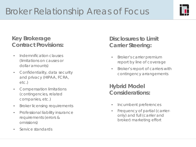# Broker Relationship Areas of Focus



#### **Key Brokerage Contract Provisions:**

- Indemnification clauses (limitations on causes or dollar amounts)
- Confidentiality, data security and privacy (HIPAA, FCRA, etc.)
- Compensation limitations (contingencies, related companies, etc.)
- Broker licensing requirements
- Professional liability insurance requirements (errors & omissions)
- Service standards

#### **Disclosures to Limit Carrier Steering:**

- Broker's carrier premium report by line of coverage
- Broker's report of carriers with contingency arrangements

**Hybrid Model Considerations:**

- Incumbent preferences
- Frequency of partial (carrieronly) and full (carrier and broker) marketing effort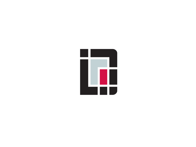